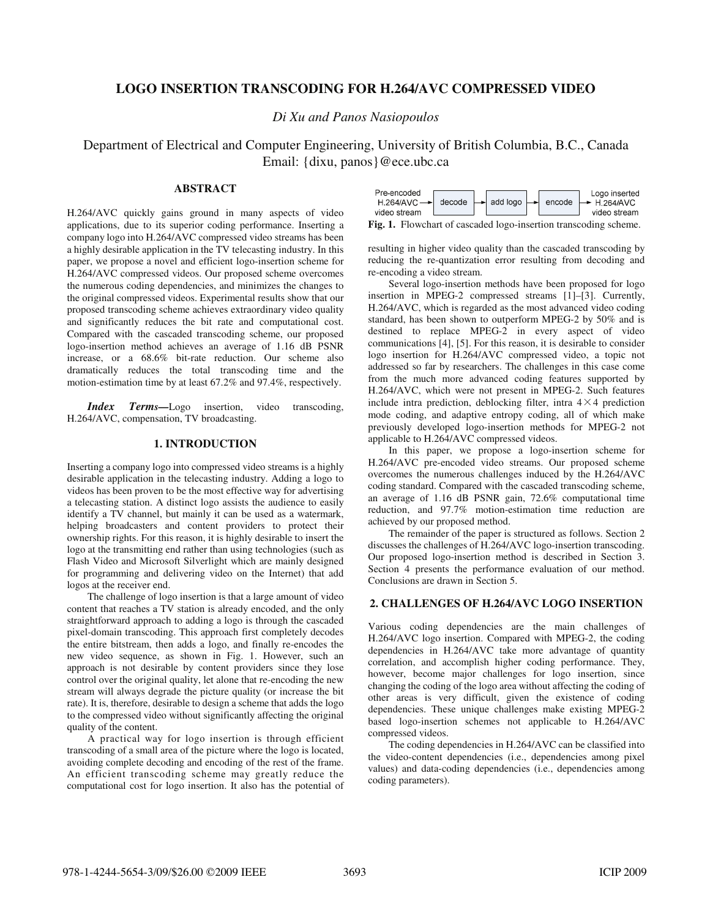# **LOGO INSERTION TRANSCODING FOR H.264/AVC COMPRESSED VIDEO**

*Di Xu and Panos Nasiopoulos* 

Department of Electrical and Computer Engineering, University of British Columbia, B.C., Canada Email: {dixu, panos}@ece.ubc.ca

# **ABSTRACT**

H.264/AVC quickly gains ground in many aspects of video applications, due to its superior coding performance. Inserting a company logo into H.264/AVC compressed video streams has been a highly desirable application in the TV telecasting industry. In this paper, we propose a novel and efficient logo-insertion scheme for H.264/AVC compressed videos. Our proposed scheme overcomes the numerous coding dependencies, and minimizes the changes to the original compressed videos. Experimental results show that our proposed transcoding scheme achieves extraordinary video quality and significantly reduces the bit rate and computational cost. Compared with the cascaded transcoding scheme, our proposed logo-insertion method achieves an average of 1.16 dB PSNR increase, or a 68.6% bit-rate reduction. Our scheme also dramatically reduces the total transcoding time and the motion-estimation time by at least 67.2% and 97.4%, respectively.

*Index Terms*—Logo insertion, video transcoding, H.264/AVC, compensation, TV broadcasting.

# **1. INTRODUCTION**

Inserting a company logo into compressed video streams is a highly desirable application in the telecasting industry. Adding a logo to videos has been proven to be the most effective way for advertising a telecasting station. A distinct logo assists the audience to easily identify a TV channel, but mainly it can be used as a watermark, helping broadcasters and content providers to protect their ownership rights. For this reason, it is highly desirable to insert the logo at the transmitting end rather than using technologies (such as Flash Video and Microsoft Silverlight which are mainly designed for programming and delivering video on the Internet) that add logos at the receiver end.

The challenge of logo insertion is that a large amount of video content that reaches a TV station is already encoded, and the only straightforward approach to adding a logo is through the cascaded pixel-domain transcoding. This approach first completely decodes the entire bitstream, then adds a logo, and finally re-encodes the new video sequence, as shown in Fig. 1. However, such an approach is not desirable by content providers since they lose control over the original quality, let alone that re-encoding the new stream will always degrade the picture quality (or increase the bit rate). It is, therefore, desirable to design a scheme that adds the logo to the compressed video without significantly affecting the original quality of the content.

A practical way for logo insertion is through efficient transcoding of a small area of the picture where the logo is located, avoiding complete decoding and encoding of the rest of the frame. An efficient transcoding scheme may greatly reduce the computational cost for logo insertion. It also has the potential of



**Fig. 1.** Flowchart of cascaded logo-insertion transcoding scheme.

resulting in higher video quality than the cascaded transcoding by reducing the re-quantization error resulting from decoding and re-encoding a video stream.

Several logo-insertion methods have been proposed for logo insertion in MPEG-2 compressed streams [1]–[3]. Currently, H.264/AVC, which is regarded as the most advanced video coding standard, has been shown to outperform MPEG-2 by 50% and is destined to replace MPEG-2 in every aspect of video communications [4], [5]. For this reason, it is desirable to consider logo insertion for H.264/AVC compressed video, a topic not addressed so far by researchers. The challenges in this case come from the much more advanced coding features supported by H.264/AVC, which were not present in MPEG-2. Such features include intra prediction, deblocking filter, intra  $4 \times 4$  prediction mode coding, and adaptive entropy coding, all of which make previously developed logo-insertion methods for MPEG-2 not applicable to H.264/AVC compressed videos.

In this paper, we propose a logo-insertion scheme for H.264/AVC pre-encoded video streams. Our proposed scheme overcomes the numerous challenges induced by the H.264/AVC coding standard. Compared with the cascaded transcoding scheme, an average of 1.16 dB PSNR gain, 72.6% computational time reduction, and 97.7% motion-estimation time reduction are achieved by our proposed method.

The remainder of the paper is structured as follows. Section 2 discusses the challenges of H.264/AVC logo-insertion transcoding. Our proposed logo-insertion method is described in Section 3. Section 4 presents the performance evaluation of our method. Conclusions are drawn in Section 5.

# **2. CHALLENGES OF H.264/AVC LOGO INSERTION**

Various coding dependencies are the main challenges of H.264/AVC logo insertion. Compared with MPEG-2, the coding dependencies in H.264/AVC take more advantage of quantity correlation, and accomplish higher coding performance. They, however, become major challenges for logo insertion, since changing the coding of the logo area without affecting the coding of other areas is very difficult, given the existence of coding dependencies. These unique challenges make existing MPEG-2 based logo-insertion schemes not applicable to H.264/AVC compressed videos.

The coding dependencies in H.264/AVC can be classified into the video-content dependencies (i.e., dependencies among pixel values) and data-coding dependencies (i.e., dependencies among coding parameters).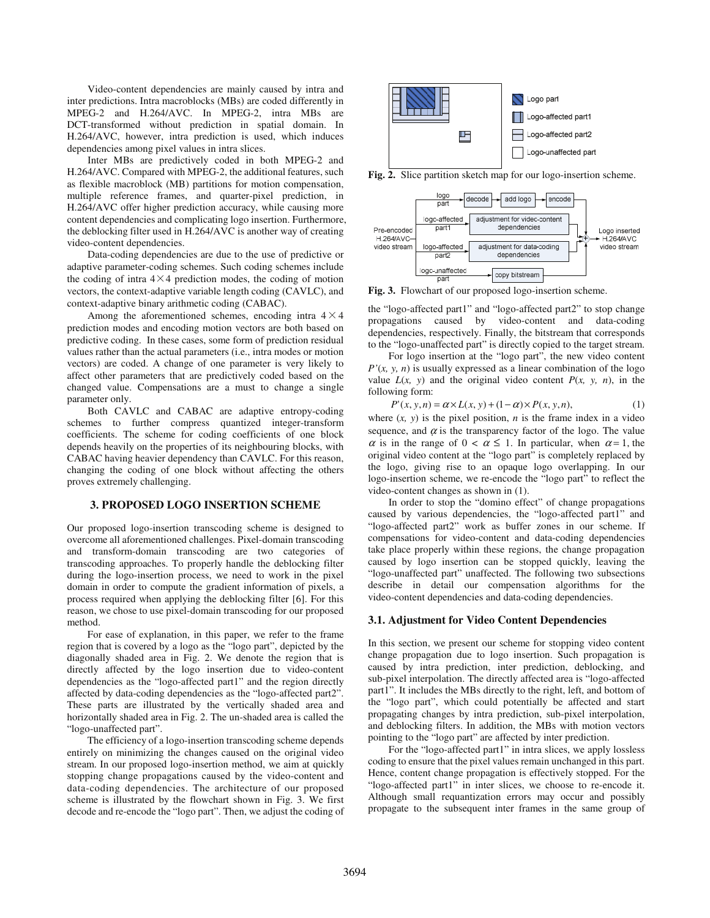Video-content dependencies are mainly caused by intra and inter predictions. Intra macroblocks (MBs) are coded differently in MPEG-2 and H.264/AVC. In MPEG-2, intra MBs are DCT-transformed without prediction in spatial domain. In H.264/AVC, however, intra prediction is used, which induces dependencies among pixel values in intra slices.

Inter MBs are predictively coded in both MPEG-2 and H.264/AVC. Compared with MPEG-2, the additional features, such as flexible macroblock (MB) partitions for motion compensation, multiple reference frames, and quarter-pixel prediction, in H.264/AVC offer higher prediction accuracy, while causing more content dependencies and complicating logo insertion. Furthermore, the deblocking filter used in H.264/AVC is another way of creating video-content dependencies.

Data-coding dependencies are due to the use of predictive or adaptive parameter-coding schemes. Such coding schemes include the coding of intra  $4\times4$  prediction modes, the coding of motion vectors, the context-adaptive variable length coding (CAVLC), and context-adaptive binary arithmetic coding (CABAC).

Among the aforementioned schemes, encoding intra  $4 \times 4$ prediction modes and encoding motion vectors are both based on predictive coding. In these cases, some form of prediction residual values rather than the actual parameters (i.e., intra modes or motion vectors) are coded. A change of one parameter is very likely to affect other parameters that are predictively coded based on the changed value. Compensations are a must to change a single parameter only.

Both CAVLC and CABAC are adaptive entropy-coding schemes to further compress quantized integer-transform coefficients. The scheme for coding coefficients of one block depends heavily on the properties of its neighbouring blocks, with CABAC having heavier dependency than CAVLC. For this reason, changing the coding of one block without affecting the others proves extremely challenging.

### **3. PROPOSED LOGO INSERTION SCHEME**

Our proposed logo-insertion transcoding scheme is designed to overcome all aforementioned challenges. Pixel-domain transcoding and transform-domain transcoding are two categories of transcoding approaches. To properly handle the deblocking filter during the logo-insertion process, we need to work in the pixel domain in order to compute the gradient information of pixels, a process required when applying the deblocking filter [6]. For this reason, we chose to use pixel-domain transcoding for our proposed method.

For ease of explanation, in this paper, we refer to the frame region that is covered by a logo as the "logo part", depicted by the diagonally shaded area in Fig. 2. We denote the region that is directly affected by the logo insertion due to video-content dependencies as the "logo-affected part1" and the region directly affected by data-coding dependencies as the "logo-affected part2". These parts are illustrated by the vertically shaded area and horizontally shaded area in Fig. 2. The un-shaded area is called the "logo-unaffected part".

The efficiency of a logo-insertion transcoding scheme depends entirely on minimizing the changes caused on the original video stream. In our proposed logo-insertion method, we aim at quickly stopping change propagations caused by the video-content and data-coding dependencies. The architecture of our proposed scheme is illustrated by the flowchart shown in Fig. 3. We first decode and re-encode the "logo part". Then, we adjust the coding of



**Fig. 2.** Slice partition sketch map for our logo-insertion scheme.



**Fig. 3.** Flowchart of our proposed logo-insertion scheme.

the "logo-affected part1" and "logo-affected part2" to stop change propagations caused by video-content and data-coding dependencies, respectively. Finally, the bitstream that corresponds to the "logo-unaffected part" is directly copied to the target stream.

For logo insertion at the "logo part", the new video content  $P'(x, y, n)$  is usually expressed as a linear combination of the logo value  $L(x, y)$  and the original video content  $P(x, y, n)$ , in the following form:

$$
P'(x, y, n) = \alpha \times L(x, y) + (1 - \alpha) \times P(x, y, n), \tag{1}
$$

where  $(x, y)$  is the pixel position, *n* is the frame index in a video sequence, and  $\alpha$  is the transparency factor of the logo. The value  $\alpha$  is in the range of  $0 < \alpha \leq 1$ . In particular, when  $\alpha = 1$ , the original video content at the "logo part" is completely replaced by the logo, giving rise to an opaque logo overlapping. In our logo-insertion scheme, we re-encode the "logo part" to reflect the video-content changes as shown in (1).

In order to stop the "domino effect" of change propagations caused by various dependencies, the "logo-affected part1" and "logo-affected part2" work as buffer zones in our scheme. If compensations for video-content and data-coding dependencies take place properly within these regions, the change propagation caused by logo insertion can be stopped quickly, leaving the "logo-unaffected part" unaffected. The following two subsections describe in detail our compensation algorithms for the video-content dependencies and data-coding dependencies.

#### **3.1. Adjustment for Video Content Dependencies**

In this section, we present our scheme for stopping video content change propagation due to logo insertion. Such propagation is caused by intra prediction, inter prediction, deblocking, and sub-pixel interpolation. The directly affected area is "logo-affected part1". It includes the MBs directly to the right, left, and bottom of the "logo part", which could potentially be affected and start propagating changes by intra prediction, sub-pixel interpolation, and deblocking filters. In addition, the MBs with motion vectors pointing to the "logo part" are affected by inter prediction.

For the "logo-affected part1" in intra slices, we apply lossless coding to ensure that the pixel values remain unchanged in this part. Hence, content change propagation is effectively stopped. For the "logo-affected part1" in inter slices, we choose to re-encode it. Although small requantization errors may occur and possibly propagate to the subsequent inter frames in the same group of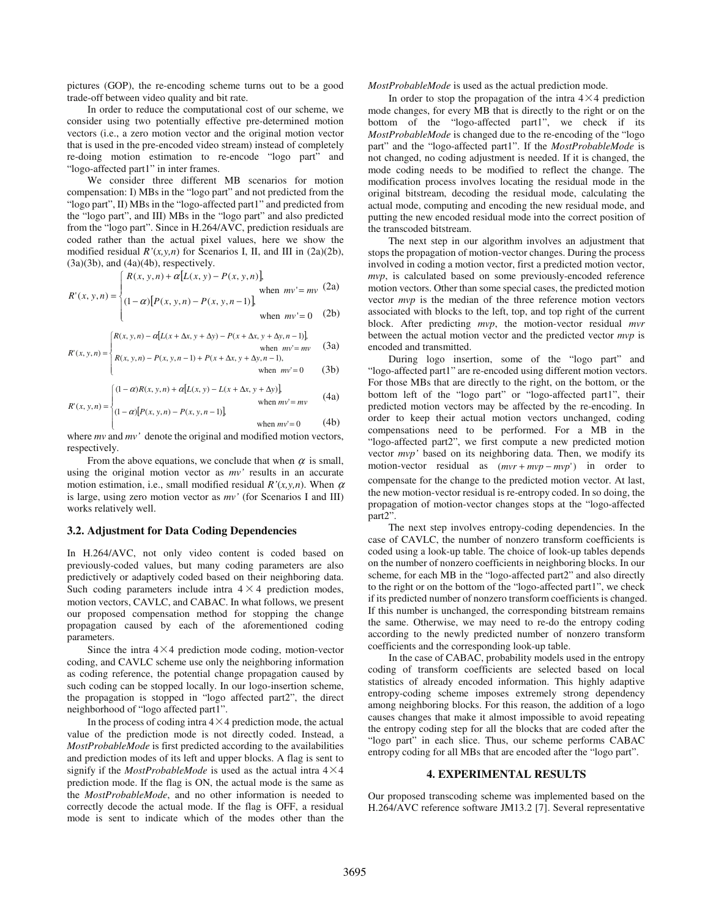pictures (GOP), the re-encoding scheme turns out to be a good trade-off between video quality and bit rate.

In order to reduce the computational cost of our scheme, we consider using two potentially effective pre-determined motion vectors (i.e., a zero motion vector and the original motion vector that is used in the pre-encoded video stream) instead of completely re-doing motion estimation to re-encode "logo part" and "logo-affected part1" in inter frames.

We consider three different MB scenarios for motion compensation: I) MBs in the "logo part" and not predicted from the "logo part", II) MBs in the "logo-affected part1" and predicted from the "logo part", and III) MBs in the "logo part" and also predicted from the "logo part". Since in H.264/AVC, prediction residuals are coded rather than the actual pixel values, here we show the modified residual  $R'(x, y, n)$  for Scenarios I, II, and III in  $(2a)(2b)$ ,  $(3a)(3b)$ , and  $(4a)(4b)$ , respectively.

$$
R'(x, y, n) = \begin{cases} R(x, y, n) + \alpha [L(x, y) - P(x, y, n)], & \text{when } mv = mv \\ (1 - \alpha) [P(x, y, n) - P(x, y, n - 1)], & \text{when } mv = 0 \end{cases}
$$
 (2a)  
when  $mv = 0$ 

$$
R(x, y, n) - \alpha [L(x + \Delta x, y + \Delta y) - P(x + \Delta x, y + \Delta y, n-1)],
$$

$$
R'(x, y, n) = \begin{cases} \text{when } mv' = mv & (3a) \\ R(x, y, n) - P(x, y, n - 1) + P(x + \Delta x, y + \Delta y, n - 1), \\ \text{when } mv' = 0 & (3b) \end{cases}
$$

ſ

 $\mathsf{I}$  $\overline{a}$ 

$$
R'(x, y, n) = \begin{cases} (1 - \alpha)R(x, y, n) + \alpha[L(x, y) - L(x + \Delta x, y + \Delta y)], & \text{when } mv = mv \\ (1 - \alpha)[P(x, y, n) - P(x, y, n - 1)], & \text{when } mv = mv \end{cases}
$$
(4a)

when 
$$
mv' = 0
$$
 (4b)

where *mv* and *mv'* denote the original and modified motion vectors, respectively.

From the above equations, we conclude that when  $\alpha$  is small, using the original motion vector as *mv'* results in an accurate motion estimation, i.e., small modified residual  $R'(x, y, n)$ . When  $\alpha$ is large, using zero motion vector as *mv'* (for Scenarios I and III) works relatively well.

### **3.2. Adjustment for Data Coding Dependencies**

In H.264/AVC, not only video content is coded based on previously-coded values, but many coding parameters are also predictively or adaptively coded based on their neighboring data. Such coding parameters include intra  $4 \times 4$  prediction modes, motion vectors, CAVLC, and CABAC. In what follows, we present our proposed compensation method for stopping the change propagation caused by each of the aforementioned coding parameters.

Since the intra  $4\times4$  prediction mode coding, motion-vector coding, and CAVLC scheme use only the neighboring information as coding reference, the potential change propagation caused by such coding can be stopped locally. In our logo-insertion scheme, the propagation is stopped in "logo affected part2", the direct neighborhood of "logo affected part1".

In the process of coding intra  $4\times 4$  prediction mode, the actual value of the prediction mode is not directly coded. Instead, a *MostProbableMode* is first predicted according to the availabilities and prediction modes of its left and upper blocks. A flag is sent to signify if the *MostProbableMode* is used as the actual intra  $4\times4$ prediction mode. If the flag is ON, the actual mode is the same as the *MostProbableMode*, and no other information is needed to correctly decode the actual mode. If the flag is OFF, a residual mode is sent to indicate which of the modes other than the *MostProbableMode* is used as the actual prediction mode.

In order to stop the propagation of the intra  $4\times4$  prediction mode changes, for every MB that is directly to the right or on the bottom of the "logo-affected part1", we check if its *MostProbableMode* is changed due to the re-encoding of the "logo part" and the "logo-affected part1". If the *MostProbableMode* is not changed, no coding adjustment is needed. If it is changed, the mode coding needs to be modified to reflect the change. The modification process involves locating the residual mode in the original bitstream, decoding the residual mode, calculating the actual mode, computing and encoding the new residual mode, and putting the new encoded residual mode into the correct position of the transcoded bitstream.

The next step in our algorithm involves an adjustment that stops the propagation of motion-vector changes. During the process involved in coding a motion vector, first a predicted motion vector, *mvp*, is calculated based on some previously-encoded reference motion vectors. Other than some special cases, the predicted motion vector *mvp* is the median of the three reference motion vectors associated with blocks to the left, top, and top right of the current block. After predicting *mvp*, the motion-vector residual *mvr*  between the actual motion vector and the predicted vector *mvp* is encoded and transmitted.

During logo insertion, some of the "logo part" and "logo-affected part1" are re-encoded using different motion vectors. For those MBs that are directly to the right, on the bottom, or the bottom left of the "logo part" or "logo-affected part1", their predicted motion vectors may be affected by the re-encoding. In order to keep their actual motion vectors unchanged, coding compensations need to be performed. For a MB in the "logo-affected part2", we first compute a new predicted motion vector *mvp'* based on its neighboring data. Then, we modify its motion-vector residual as (*mvr* + *mvp* − *mvp*') in order to compensate for the change to the predicted motion vector. At last, the new motion-vector residual is re-entropy coded. In so doing, the propagation of motion-vector changes stops at the "logo-affected part2".

The next step involves entropy-coding dependencies. In the case of CAVLC, the number of nonzero transform coefficients is coded using a look-up table. The choice of look-up tables depends on the number of nonzero coefficients in neighboring blocks. In our scheme, for each MB in the "logo-affected part2" and also directly to the right or on the bottom of the "logo-affected part1", we check if its predicted number of nonzero transform coefficients is changed. If this number is unchanged, the corresponding bitstream remains the same. Otherwise, we may need to re-do the entropy coding according to the newly predicted number of nonzero transform coefficients and the corresponding look-up table.

In the case of CABAC, probability models used in the entropy coding of transform coefficients are selected based on local statistics of already encoded information. This highly adaptive entropy-coding scheme imposes extremely strong dependency among neighboring blocks. For this reason, the addition of a logo causes changes that make it almost impossible to avoid repeating the entropy coding step for all the blocks that are coded after the "logo part" in each slice. Thus, our scheme performs CABAC entropy coding for all MBs that are encoded after the "logo part".

### **4. EXPERIMENTAL RESULTS**

Our proposed transcoding scheme was implemented based on the H.264/AVC reference software JM13.2 [7]. Several representative